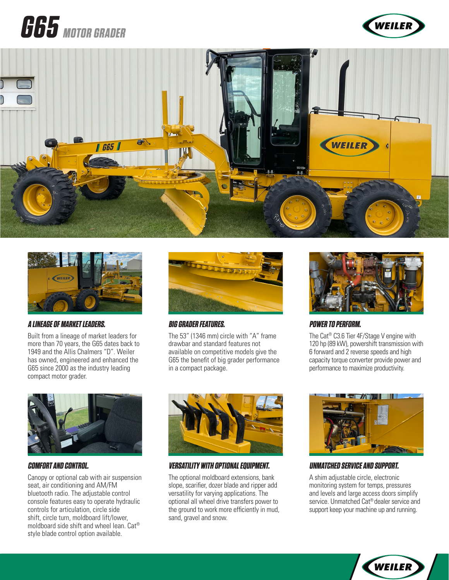# **G65 MOTOR GRADER**







#### **A LINEAGE OF MARKET LEADERS.**

Built from a lineage of market leaders for more than 70 years, the G65 dates back to 1949 and the Allis Chalmers "D". Weiler has owned, engineered and enhanced the G65 since 2000 as the industry leading compact motor grader.



#### **COMFORT AND CONTROL.**

Canopy or optional cab with air suspension seat, air conditioning and AM/FM bluetooth radio. The adjustable control console features easy to operate hydraulic controls for articulation, circle side shift, circle turn, moldboard lift/lower, moldboard side shift and wheel lean. Cat® style blade control option available.



#### **BIG GRADER FEATURES.**

The 53" (1346 mm) circle with "A" frame drawbar and standard features not available on competitive models give the G65 the benefit of big grader performance in a compact package.



#### **VERSATILITY WITH OPTIONAL EQUIPMENT.**

The optional moldboard extensions, bank slope, scarifier, dozer blade and ripper add versatility for varying applications. The optional all wheel drive transfers power to the ground to work more efficiently in mud, sand, gravel and snow.



#### **POWER TO PERFORM.**

The Cat® C3.6 Tier 4F/Stage V engine with 120 hp (89 kW), powershift transmission with 6 forward and 2 reverse speeds and high capacity torque converter provide power and performance to maximize productivity.



#### **UNMATCHED SERVICE AND SUPPORT.**

A shim adjustable circle, electronic monitoring system for temps, pressures and levels and large access doors simplify service. Unmatched Cat® dealer service and support keep your machine up and running.